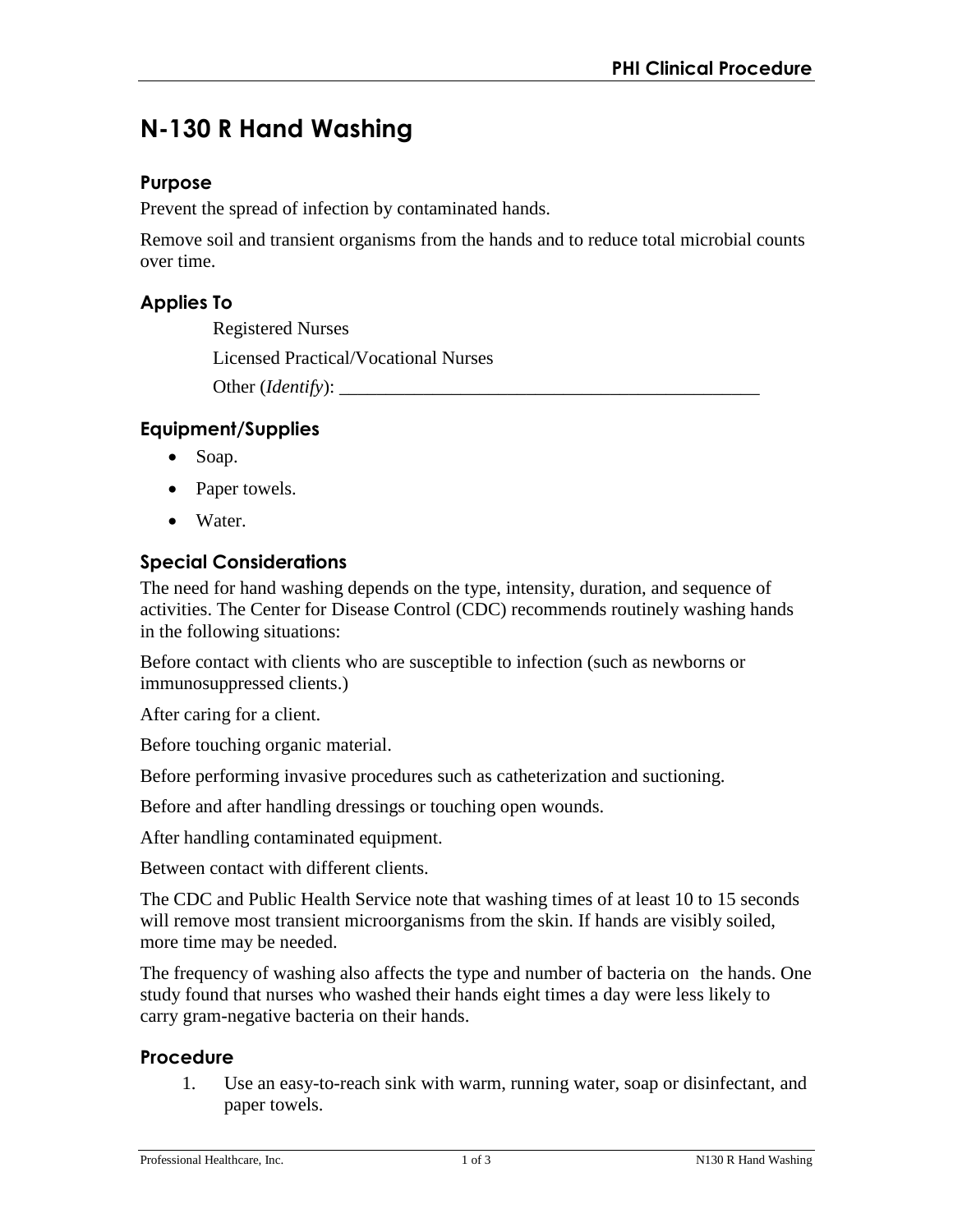# **N-130 R Hand Washing**

#### **Purpose**

Prevent the spread of infection by contaminated hands.

Remove soil and transient organisms from the hands and to reduce total microbial counts over time.

## **Applies To**

Registered Nurses Licensed Practical/Vocational Nurses Other (*Identify*):

## **Equipment/Supplies**

- Soap.
- Paper towels.
- Water.

# **Special Considerations**

The need for hand washing depends on the type, intensity, duration, and sequence of activities. The Center for Disease Control (CDC) recommends routinely washing hands in the following situations:

Before contact with clients who are susceptible to infection (such as newborns or immunosuppressed clients.)

After caring for a client.

Before touching organic material.

Before performing invasive procedures such as catheterization and suctioning.

Before and after handling dressings or touching open wounds.

After handling contaminated equipment.

Between contact with different clients.

The CDC and Public Health Service note that washing times of at least 10 to 15 seconds will remove most transient microorganisms from the skin. If hands are visibly soiled, more time may be needed.

The frequency of washing also affects the type and number of bacteria on the hands. One study found that nurses who washed their hands eight times a day were less likely to carry gram-negative bacteria on their hands.

#### **Procedure**

1. Use an easy-to-reach sink with warm, running water, soap or disinfectant, and paper towels.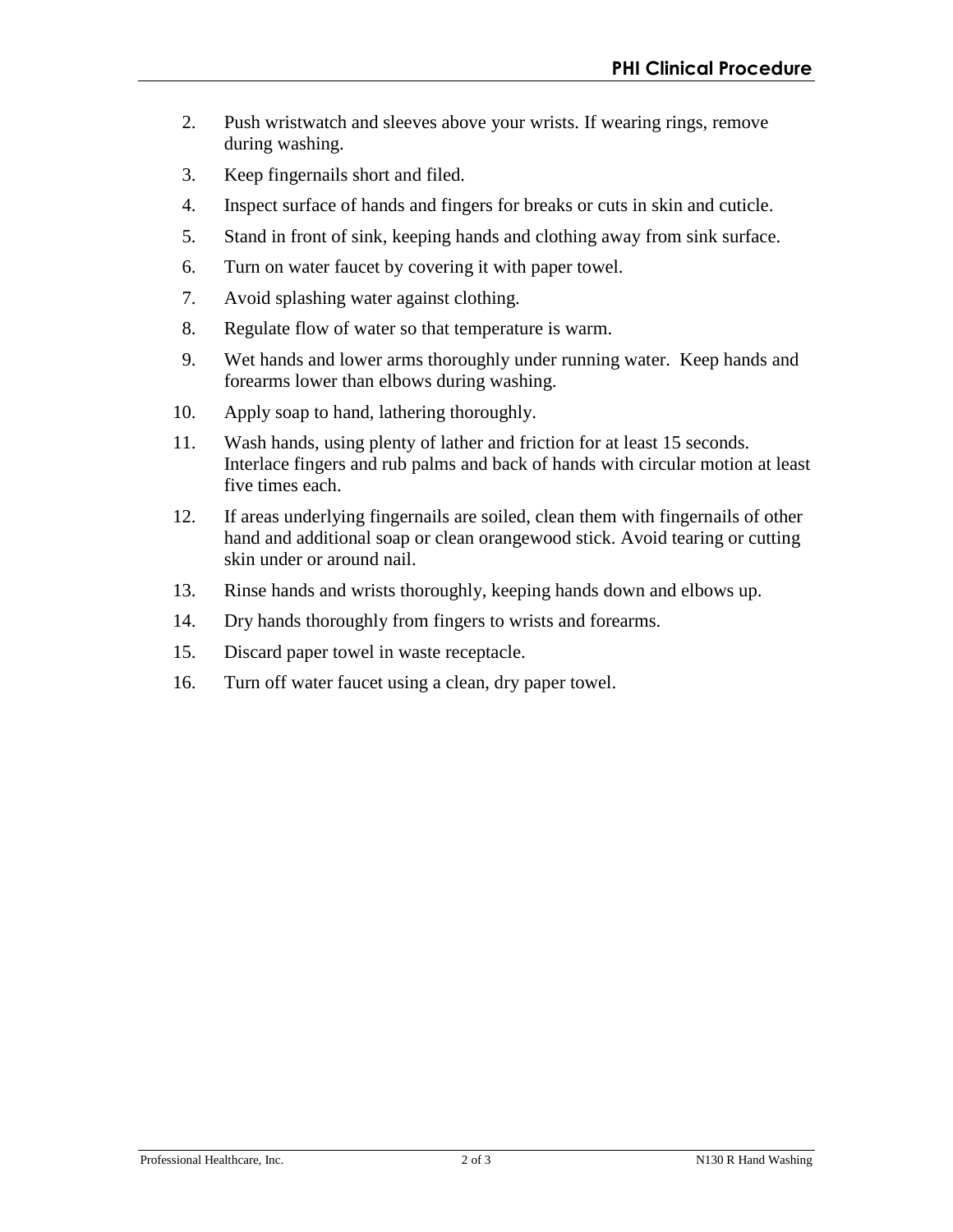- 2. Push wristwatch and sleeves above your wrists. If wearing rings, remove during washing.
- 3. Keep fingernails short and filed.
- 4. Inspect surface of hands and fingers for breaks or cuts in skin and cuticle.
- 5. Stand in front of sink, keeping hands and clothing away from sink surface.
- 6. Turn on water faucet by covering it with paper towel.
- 7. Avoid splashing water against clothing.
- 8. Regulate flow of water so that temperature is warm.
- 9. Wet hands and lower arms thoroughly under running water. Keep hands and forearms lower than elbows during washing.
- 10. Apply soap to hand, lathering thoroughly.
- 11. Wash hands, using plenty of lather and friction for at least 15 seconds. Interlace fingers and rub palms and back of hands with circular motion at least five times each.
- 12. If areas underlying fingernails are soiled, clean them with fingernails of other hand and additional soap or clean orangewood stick. Avoid tearing or cutting skin under or around nail.
- 13. Rinse hands and wrists thoroughly, keeping hands down and elbows up.
- 14. Dry hands thoroughly from fingers to wrists and forearms.
- 15. Discard paper towel in waste receptacle.
- 16. Turn off water faucet using a clean, dry paper towel.